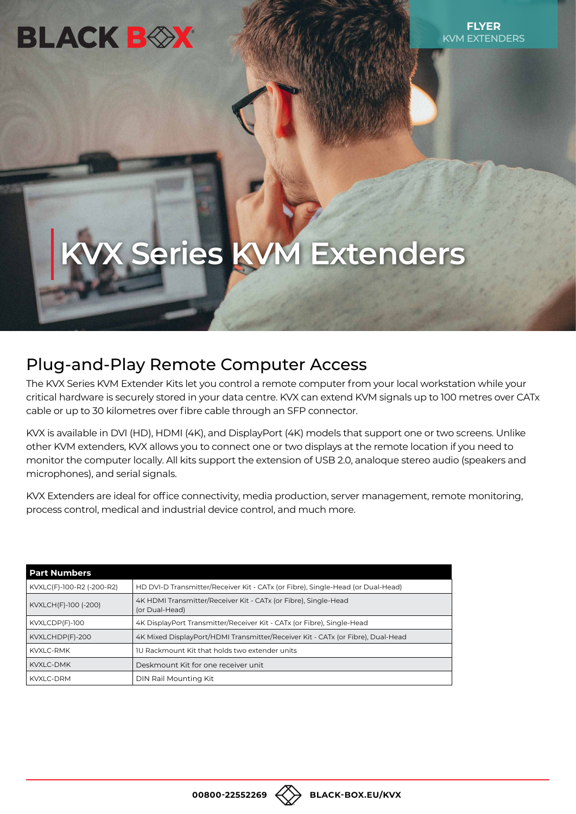## **BLACK BOX**

# **KVX Series KVM Extenders**

## Plug-and-Play Remote Computer Access

The KVX Series KVM Extender Kits let you control a remote computer from your local workstation while your critical hardware is securely stored in your data centre. KVX can extend KVM signals up to 100 metres over CATx cable or up to 30 kilometres over fibre cable through an SFP connector.

KVX is available in DVI (HD), HDMI (4K), and DisplayPort (4K) models that support one or two screens. Unlike other KVM extenders, KVX allows you to connect one or two displays at the remote location if you need to monitor the computer locally. All kits support the extension of USB 2.0, analoque stereo audio (speakers and microphones), and serial signals.

KVX Extenders are ideal for office connectivity, media production, server management, remote monitoring, process control, medical and industrial device control, and much more.

| <b>Part Numbers</b>       |                                                                                   |
|---------------------------|-----------------------------------------------------------------------------------|
| KVXLC(F)-100-R2 (-200-R2) | HD DVI-D Transmitter/Receiver Kit - CATx (or Fibre), Single-Head (or Dual-Head)   |
| KVXLCH(F)-100 (-200)      | 4K HDMI Transmitter/Receiver Kit - CATx (or Fibre), Single-Head<br>(or Dual-Head) |
| KVXLCDP(F)-100            | 4K DisplayPort Transmitter/Receiver Kit - CATx (or Fibre), Single-Head            |
| KVXLCHDP(F)-200           | 4K Mixed DisplayPort/HDMI Transmitter/Receiver Kit - CATx (or Fibre), Dual-Head   |
| <b>KVXLC-RMK</b>          | 10 Rackmount Kit that holds two extender units                                    |
| <b>KVXLC-DMK</b>          | Deskmount Kit for one receiver unit                                               |
| <b>KVXLC-DRM</b>          | DIN Rail Mounting Kit                                                             |